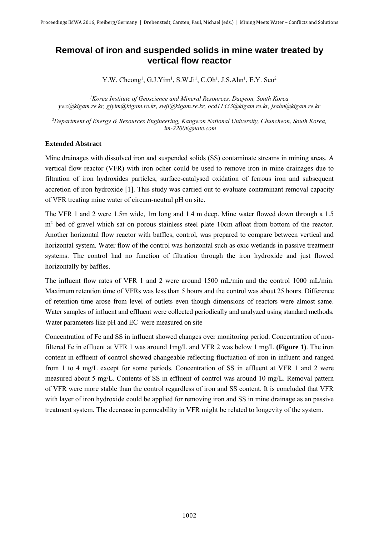## **Removal of iron and suspended solids in mine water treated by vertical flow reactor**

Y.W. Cheong<sup>1</sup>, G.J.Yim<sup>1</sup>, S.W.Ji<sup>1</sup>, C.Oh<sup>1</sup>, J.S.Ahn<sup>1</sup>, E.Y. Seo<sup>2</sup>

*<sup>1</sup>Korea Institute of Geoscience and Mineral Resources, Daejeon, South Korea [ywc@kigam.re.kr,](mailto:ywc@kigam.re.kr) [gjyim@kigam.re.kr,](mailto:gjyim@kigam.re.kr) [swji@kigam.re.kr,](mailto:swji@kigam.re.kr) [ocd11333@kigam.re.kr, jsahn@kigam.re.kr](mailto:ocd11333@kigam.re.kr,%20jsahn@kigam.re.kr)*

*<sup>2</sup>Department of Energy & Resources Engineering, Kangwon National University, Chuncheon, South Korea, [im-2200t@nate.com](mailto:im-2200t@nate.com)*

## **Extended Abstract**

Mine drainages with dissolved iron and suspended solids (SS) contaminate streams in mining areas. A vertical flow reactor (VFR) with iron ocher could be used to remove iron in mine drainages due to filtration of iron hydroxides particles, surface-catalysed oxidation of ferrous iron and subsequent accretion of iron hydroxide [1]. This study was carried out to evaluate contaminant removal capacity of VFR treating mine water of circum-neutral pH on site.

The VFR 1 and 2 were 1.5m wide, 1m long and 1.4 m deep. Mine water flowed down through a 1.5 m<sup>2</sup> bed of gravel which sat on porous stainless steel plate 10cm afloat from bottom of the reactor. Another horizontal flow reactor with baffles, control, was prepared to compare between vertical and horizontal system. Water flow of the control was horizontal such as oxic wetlands in passive treatment systems. The control had no function of filtration through the iron hydroxide and just flowed horizontally by baffles.

The influent flow rates of VFR 1 and 2 were around 1500 mL/min and the control 1000 mL/min. Maximum retention time of VFRs was less than 5 hours and the control was about 25 hours. Difference of retention time arose from level of outlets even though dimensions of reactors were almost same. Water samples of influent and effluent were collected periodically and analyzed using standard methods. Water parameters like pH and EC were measured on site

Concentration of Fe and SS in influent showed changes over monitoring period. Concentration of nonfiltered Fe in effluent at VFR 1 was around 1mg/L and VFR 2 was below 1 mg/L **(Figure 1)**. The iron content in effluent of control showed changeable reflecting fluctuation of iron in influent and ranged from 1 to 4 mg/L except for some periods. Concentration of SS in effluent at VFR 1 and 2 were measured about 5 mg/L. Contents of SS in effluent of control was around 10 mg/L. Removal pattern of VFR were more stable than the control regardless of iron and SS content. It is concluded that VFR with layer of iron hydroxide could be applied for removing iron and SS in mine drainage as an passive treatment system. The decrease in permeability in VFR might be related to longevity of the system.